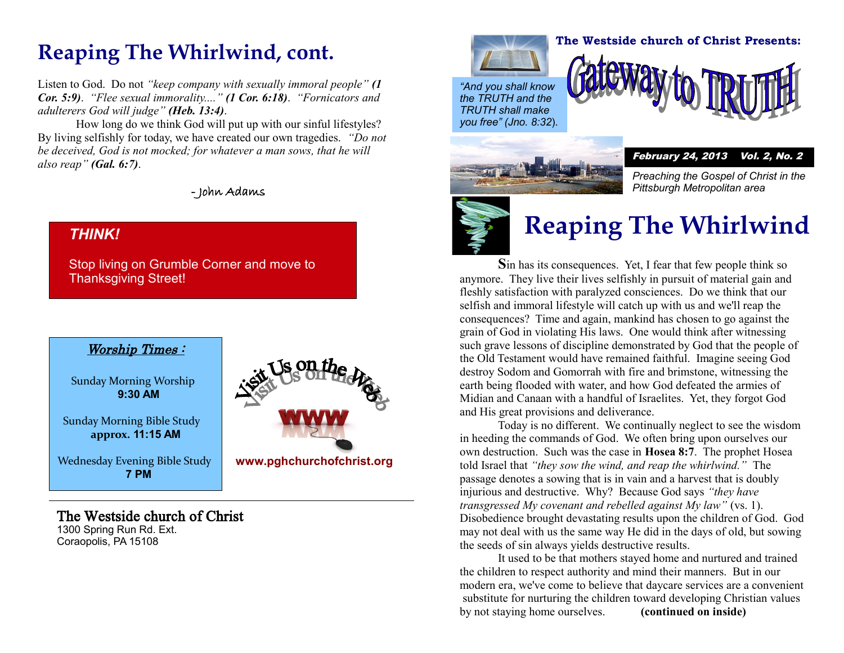## **Reaping The Whirlwind, cont.**

Listen to God. Do not *"keep company with sexually immoral people" (1 Cor. 5:9)*. *"Flee sexual immorality...." (1 Cor. 6:18)*. *"Fornicators and adulterers God will judge" (Heb. 13:4)*.

How long do we think God will put up with our sinful lifestyles? By living selfishly for today, we have created our own tragedies. *"Do not be deceived, God is not mocked; for whatever a man sows, that he will also reap" (Gal. 6:7)*.

- John Adams

#### *THINK!*

Stop living on Grumble Corner and move to Thanksgiving Street!

#### Worship Times :

Sunday Morning Worship **9:30 AM**

Sunday Morning Bible Study **approx. 11:15 AM**

Wednesday Evening Bible Study **7 PM**

### The Westside church of Christ

1300 Spring Run Rd. Ext. Coraopolis, PA 15108





#### **The Westside church of Christ Presents:**

*"And you shall know the TRUTH and the TRUTH shall make you free" (Jno. 8:32*).



February 24, 2013 Vol. 2, No. 2

*Preaching the Gospel of Christ in the Pittsburgh Metropolitan area*



# **Reaping The Whirlwind**

**S**in has its consequences. Yet, I fear that few people think so anymore. They live their lives selfishly in pursuit of material gain and fleshly satisfaction with paralyzed consciences. Do we think that our selfish and immoral lifestyle will catch up with us and we'll reap the consequences? Time and again, mankind has chosen to go against the grain of God in violating His laws. One would think after witnessing such grave lessons of discipline demonstrated by God that the people of the Old Testament would have remained faithful. Imagine seeing God destroy Sodom and Gomorrah with fire and brimstone, witnessing the earth being flooded with water, and how God defeated the armies of Midian and Canaan with a handful of Israelites. Yet, they forgot God and His great provisions and deliverance.

Today is no different. We continually neglect to see the wisdom in heeding the commands of God. We often bring upon ourselves our own destruction. Such was the case in **Hosea 8:7**. The prophet Hosea told Israel that *"they sow the wind, and reap the whirlwind."* The passage denotes a sowing that is in vain and a harvest that is doubly injurious and destructive. Why? Because God says *"they have transgressed My covenant and rebelled against My law"* (vs. 1). Disobedience brought devastating results upon the children of God. God may not deal with us the same way He did in the days of old, but sowing the seeds of sin always yields destructive results.

It used to be that mothers stayed home and nurtured and trained the children to respect authority and mind their manners. But in our modern era, we've come to believe that daycare services are a convenient substitute for nurturing the children toward developing Christian values by not staying home ourselves. **(continued on inside)**